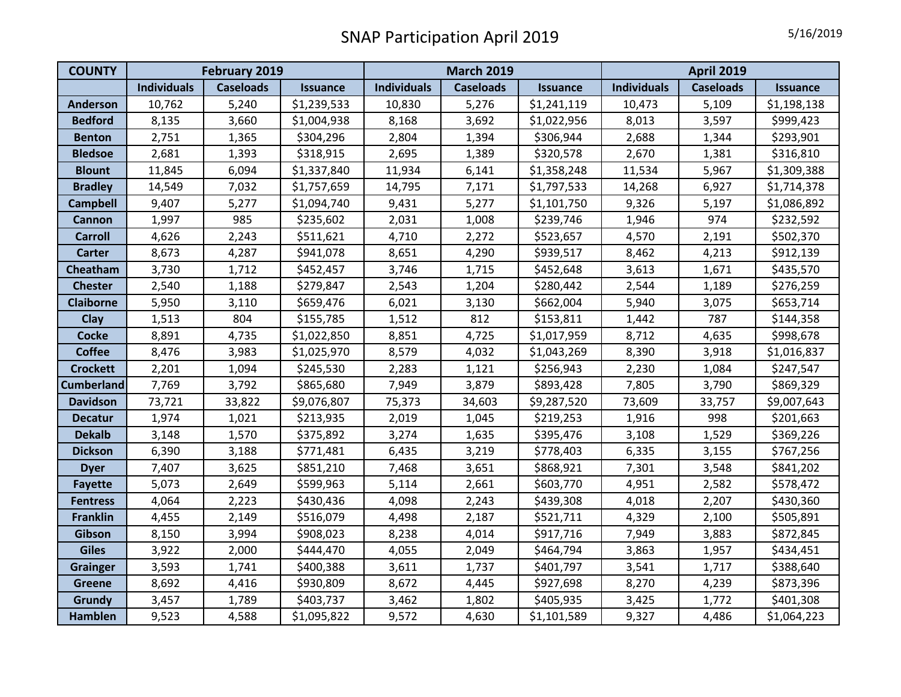| <b>COUNTY</b>     | <b>February 2019</b> |                  |                 | <b>March 2019</b>  |                  |                 | <b>April 2019</b>  |                  |                 |
|-------------------|----------------------|------------------|-----------------|--------------------|------------------|-----------------|--------------------|------------------|-----------------|
|                   | <b>Individuals</b>   | <b>Caseloads</b> | <b>Issuance</b> | <b>Individuals</b> | <b>Caseloads</b> | <b>Issuance</b> | <b>Individuals</b> | <b>Caseloads</b> | <b>Issuance</b> |
| <b>Anderson</b>   | 10,762               | 5,240            | \$1,239,533     | 10,830             | 5,276            | \$1,241,119     | 10,473             | 5,109            | \$1,198,138     |
| <b>Bedford</b>    | 8,135                | 3,660            | \$1,004,938     | 8,168              | 3,692            | \$1,022,956     | 8,013              | 3,597            | \$999,423       |
| <b>Benton</b>     | 2,751                | 1,365            | \$304,296       | 2,804              | 1,394            | \$306,944       | 2,688              | 1,344            | \$293,901       |
| <b>Bledsoe</b>    | 2,681                | 1,393            | \$318,915       | 2,695              | 1,389            | \$320,578       | 2,670              | 1,381            | \$316,810       |
| <b>Blount</b>     | 11,845               | 6,094            | \$1,337,840     | 11,934             | 6,141            | \$1,358,248     | 11,534             | 5,967            | \$1,309,388     |
| <b>Bradley</b>    | 14,549               | 7,032            | \$1,757,659     | 14,795             | 7,171            | \$1,797,533     | 14,268             | 6,927            | \$1,714,378     |
| <b>Campbell</b>   | 9,407                | 5,277            | \$1,094,740     | 9,431              | 5,277            | \$1,101,750     | 9,326              | 5,197            | \$1,086,892     |
| <b>Cannon</b>     | 1,997                | 985              | \$235,602       | 2,031              | 1,008            | \$239,746       | 1,946              | 974              | \$232,592       |
| <b>Carroll</b>    | 4,626                | 2,243            | \$511,621       | 4,710              | 2,272            | \$523,657       | 4,570              | 2,191            | \$502,370       |
| <b>Carter</b>     | 8,673                | 4,287            | \$941,078       | 8,651              | 4,290            | \$939,517       | 8,462              | 4,213            | \$912,139       |
| Cheatham          | 3,730                | 1,712            | \$452,457       | 3,746              | 1,715            | \$452,648       | 3,613              | 1,671            | \$435,570       |
| <b>Chester</b>    | 2,540                | 1,188            | \$279,847       | 2,543              | 1,204            | \$280,442       | 2,544              | 1,189            | \$276,259       |
| <b>Claiborne</b>  | 5,950                | 3,110            | \$659,476       | 6,021              | 3,130            | \$662,004       | 5,940              | 3,075            | \$653,714       |
| <b>Clay</b>       | 1,513                | 804              | \$155,785       | 1,512              | 812              | \$153,811       | 1,442              | 787              | \$144,358       |
| <b>Cocke</b>      | 8,891                | 4,735            | \$1,022,850     | 8,851              | 4,725            | \$1,017,959     | 8,712              | 4,635            | \$998,678       |
| <b>Coffee</b>     | 8,476                | 3,983            | \$1,025,970     | 8,579              | 4,032            | \$1,043,269     | 8,390              | 3,918            | \$1,016,837     |
| <b>Crockett</b>   | 2,201                | 1,094            | \$245,530       | 2,283              | 1,121            | \$256,943       | 2,230              | 1,084            | \$247,547       |
| <b>Cumberland</b> | 7,769                | 3,792            | \$865,680       | 7,949              | 3,879            | \$893,428       | 7,805              | 3,790            | \$869,329       |
| <b>Davidson</b>   | 73,721               | 33,822           | \$9,076,807     | 75,373             | 34,603           | \$9,287,520     | 73,609             | 33,757           | \$9,007,643     |
| <b>Decatur</b>    | 1,974                | 1,021            | \$213,935       | 2,019              | 1,045            | \$219,253       | 1,916              | 998              | \$201,663       |
| <b>Dekalb</b>     | 3,148                | 1,570            | \$375,892       | 3,274              | 1,635            | \$395,476       | 3,108              | 1,529            | \$369,226       |
| <b>Dickson</b>    | 6,390                | 3,188            | \$771,481       | 6,435              | 3,219            | \$778,403       | 6,335              | 3,155            | \$767,256       |
| <b>Dyer</b>       | 7,407                | 3,625            | \$851,210       | 7,468              | 3,651            | \$868,921       | 7,301              | 3,548            | \$841,202       |
| <b>Fayette</b>    | 5,073                | 2,649            | \$599,963       | 5,114              | 2,661            | \$603,770       | 4,951              | 2,582            | \$578,472       |
| <b>Fentress</b>   | 4,064                | 2,223            | \$430,436       | 4,098              | 2,243            | \$439,308       | 4,018              | 2,207            | \$430,360       |
| <b>Franklin</b>   | 4,455                | 2,149            | \$516,079       | 4,498              | 2,187            | \$521,711       | 4,329              | 2,100            | \$505,891       |
| Gibson            | 8,150                | 3,994            | \$908,023       | 8,238              | 4,014            | \$917,716       | 7,949              | 3,883            | \$872,845       |
| <b>Giles</b>      | 3,922                | 2,000            | \$444,470       | 4,055              | 2,049            | \$464,794       | 3,863              | 1,957            | \$434,451       |
| <b>Grainger</b>   | 3,593                | 1,741            | \$400,388       | 3,611              | 1,737            | \$401,797       | 3,541              | 1,717            | \$388,640       |
| <b>Greene</b>     | 8,692                | 4,416            | \$930,809       | 8,672              | 4,445            | \$927,698       | 8,270              | 4,239            | \$873,396       |
| <b>Grundy</b>     | 3,457                | 1,789            | \$403,737       | 3,462              | 1,802            | \$405,935       | 3,425              | 1,772            | \$401,308       |
| <b>Hamblen</b>    | 9,523                | 4,588            | \$1,095,822     | 9,572              | 4,630            | \$1,101,589     | 9,327              | 4,486            | \$1,064,223     |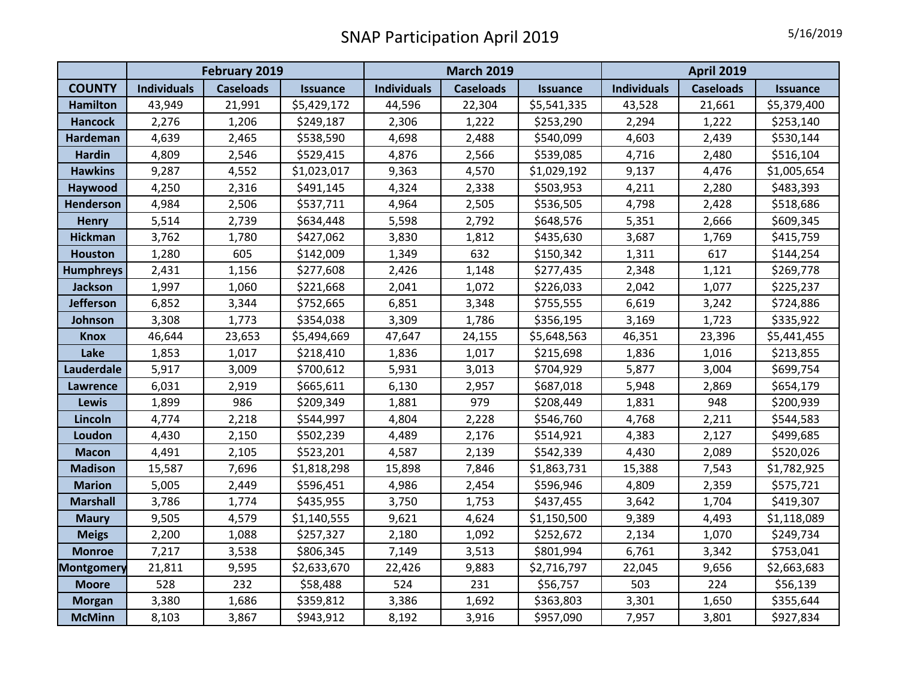|                   | <b>February 2019</b> |                  |                 | <b>March 2019</b>  |                  |                 | <b>April 2019</b>  |                  |                 |
|-------------------|----------------------|------------------|-----------------|--------------------|------------------|-----------------|--------------------|------------------|-----------------|
| <b>COUNTY</b>     | <b>Individuals</b>   | <b>Caseloads</b> | <b>Issuance</b> | <b>Individuals</b> | <b>Caseloads</b> | <b>Issuance</b> | <b>Individuals</b> | <b>Caseloads</b> | <b>Issuance</b> |
| <b>Hamilton</b>   | 43,949               | 21,991           | \$5,429,172     | 44,596             | 22,304           | \$5,541,335     | 43,528             | 21,661           | \$5,379,400     |
| <b>Hancock</b>    | 2,276                | 1,206            | \$249,187       | 2,306              | 1,222            | \$253,290       | 2,294              | 1,222            | \$253,140       |
| <b>Hardeman</b>   | 4,639                | 2,465            | \$538,590       | 4,698              | 2,488            | \$540,099       | 4,603              | 2,439            | \$530,144       |
| <b>Hardin</b>     | 4,809                | 2,546            | \$529,415       | 4,876              | 2,566            | \$539,085       | 4,716              | 2,480            | \$516,104       |
| <b>Hawkins</b>    | 9,287                | 4,552            | \$1,023,017     | 9,363              | 4,570            | \$1,029,192     | 9,137              | 4,476            | \$1,005,654     |
| Haywood           | 4,250                | 2,316            | \$491,145       | 4,324              | 2,338            | \$503,953       | 4,211              | 2,280            | \$483,393       |
| <b>Henderson</b>  | 4,984                | 2,506            | \$537,711       | 4,964              | 2,505            | \$536,505       | 4,798              | 2,428            | \$518,686       |
| <b>Henry</b>      | 5,514                | 2,739            | \$634,448       | 5,598              | 2,792            | \$648,576       | 5,351              | 2,666            | \$609,345       |
| <b>Hickman</b>    | 3,762                | 1,780            | \$427,062       | 3,830              | 1,812            | \$435,630       | 3,687              | 1,769            | \$415,759       |
| <b>Houston</b>    | 1,280                | 605              | \$142,009       | 1,349              | 632              | \$150,342       | 1,311              | 617              | \$144,254       |
| <b>Humphreys</b>  | 2,431                | 1,156            | \$277,608       | 2,426              | 1,148            | \$277,435       | 2,348              | 1,121            | \$269,778       |
| Jackson           | 1,997                | 1,060            | \$221,668       | 2,041              | 1,072            | \$226,033       | 2,042              | 1,077            | \$225,237       |
| <b>Jefferson</b>  | 6,852                | 3,344            | \$752,665       | 6,851              | 3,348            | \$755,555       | 6,619              | 3,242            | \$724,886       |
| Johnson           | 3,308                | 1,773            | \$354,038       | 3,309              | 1,786            | \$356,195       | 3,169              | 1,723            | \$335,922       |
| <b>Knox</b>       | 46,644               | 23,653           | \$5,494,669     | 47,647             | 24,155           | \$5,648,563     | 46,351             | 23,396           | \$5,441,455     |
| Lake              | 1,853                | 1,017            | \$218,410       | 1,836              | 1,017            | \$215,698       | 1,836              | 1,016            | \$213,855       |
| Lauderdale        | 5,917                | 3,009            | \$700,612       | 5,931              | 3,013            | \$704,929       | 5,877              | 3,004            | \$699,754       |
| <b>Lawrence</b>   | 6,031                | 2,919            | \$665,611       | 6,130              | 2,957            | \$687,018       | 5,948              | 2,869            | \$654,179       |
| Lewis             | 1,899                | 986              | \$209,349       | 1,881              | 979              | \$208,449       | 1,831              | 948              | \$200,939       |
| Lincoln           | 4,774                | 2,218            | \$544,997       | 4,804              | 2,228            | \$546,760       | 4,768              | 2,211            | \$544,583       |
| Loudon            | 4,430                | 2,150            | \$502,239       | 4,489              | 2,176            | \$514,921       | 4,383              | 2,127            | \$499,685       |
| <b>Macon</b>      | 4,491                | 2,105            | \$523,201       | 4,587              | 2,139            | \$542,339       | 4,430              | 2,089            | \$520,026       |
| <b>Madison</b>    | 15,587               | 7,696            | \$1,818,298     | 15,898             | 7,846            | \$1,863,731     | 15,388             | 7,543            | \$1,782,925     |
| <b>Marion</b>     | 5,005                | 2,449            | \$596,451       | 4,986              | 2,454            | \$596,946       | 4,809              | 2,359            | \$575,721       |
| <b>Marshall</b>   | 3,786                | 1,774            | \$435,955       | 3,750              | 1,753            | \$437,455       | 3,642              | 1,704            | \$419,307       |
| <b>Maury</b>      | 9,505                | 4,579            | \$1,140,555     | 9,621              | 4,624            | \$1,150,500     | 9,389              | 4,493            | \$1,118,089     |
| <b>Meigs</b>      | 2,200                | 1,088            | \$257,327       | 2,180              | 1,092            | \$252,672       | 2,134              | 1,070            | \$249,734       |
| <b>Monroe</b>     | 7,217                | 3,538            | \$806,345       | 7,149              | 3,513            | \$801,994       | 6,761              | 3,342            | \$753,041       |
| <b>Montgomery</b> | 21,811               | 9,595            | \$2,633,670     | 22,426             | 9,883            | \$2,716,797     | 22,045             | 9,656            | \$2,663,683     |
| <b>Moore</b>      | 528                  | 232              | \$58,488        | 524                | 231              | \$56,757        | 503                | 224              | \$56,139        |
| <b>Morgan</b>     | 3,380                | 1,686            | \$359,812       | 3,386              | 1,692            | \$363,803       | 3,301              | 1,650            | \$355,644       |
| <b>McMinn</b>     | 8,103                | 3,867            | \$943,912       | 8,192              | 3,916            | \$957,090       | 7,957              | 3,801            | \$927,834       |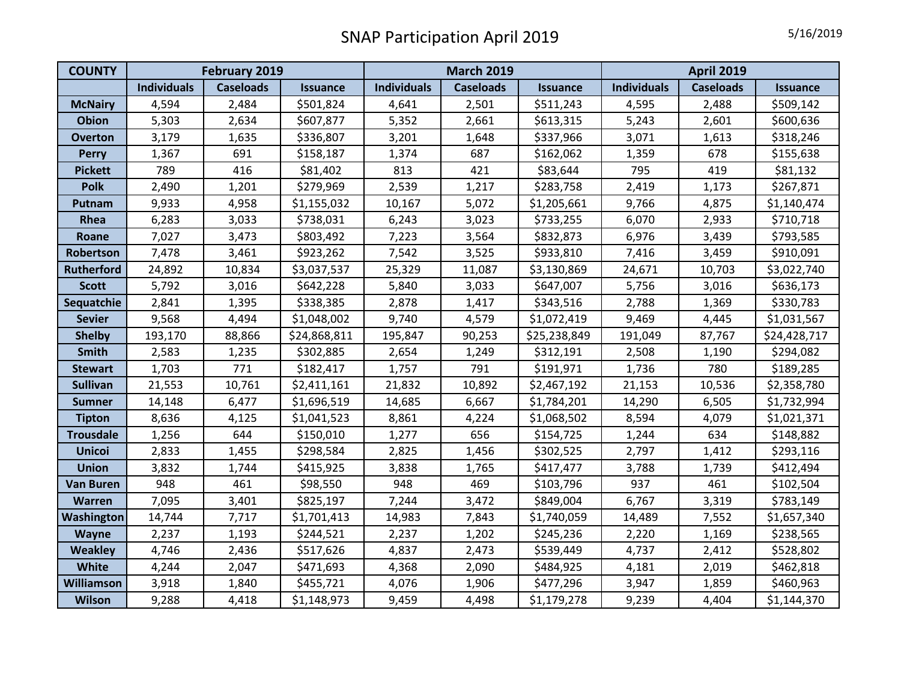| <b>COUNTY</b>     | February 2019      |                  |                 | <b>March 2019</b>  |                  |                 | <b>April 2019</b>  |                  |                 |
|-------------------|--------------------|------------------|-----------------|--------------------|------------------|-----------------|--------------------|------------------|-----------------|
|                   | <b>Individuals</b> | <b>Caseloads</b> | <b>Issuance</b> | <b>Individuals</b> | <b>Caseloads</b> | <b>Issuance</b> | <b>Individuals</b> | <b>Caseloads</b> | <b>Issuance</b> |
| <b>McNairy</b>    | 4,594              | 2,484            | \$501,824       | 4,641              | 2,501            | \$511,243       | 4,595              | 2,488            | \$509,142       |
| <b>Obion</b>      | 5,303              | 2,634            | \$607,877       | 5,352              | 2,661            | \$613,315       | 5,243              | 2,601            | \$600,636       |
| <b>Overton</b>    | 3,179              | 1,635            | \$336,807       | 3,201              | 1,648            | \$337,966       | 3,071              | 1,613            | \$318,246       |
| <b>Perry</b>      | 1,367              | 691              | \$158,187       | 1,374              | 687              | \$162,062       | 1,359              | 678              | \$155,638       |
| <b>Pickett</b>    | 789                | 416              | \$81,402        | 813                | 421              | \$83,644        | 795                | 419              | \$81,132        |
| <b>Polk</b>       | 2,490              | 1,201            | \$279,969       | 2,539              | 1,217            | \$283,758       | 2,419              | 1,173            | \$267,871       |
| Putnam            | 9,933              | 4,958            | \$1,155,032     | 10,167             | 5,072            | \$1,205,661     | 9,766              | 4,875            | \$1,140,474     |
| Rhea              | 6,283              | 3,033            | \$738,031       | 6,243              | 3,023            | \$733,255       | 6,070              | 2,933            | \$710,718       |
| Roane             | 7,027              | 3,473            | \$803,492       | 7,223              | 3,564            | \$832,873       | 6,976              | 3,439            | \$793,585       |
| Robertson         | 7,478              | 3,461            | \$923,262       | 7,542              | 3,525            | \$933,810       | 7,416              | 3,459            | \$910,091       |
| <b>Rutherford</b> | 24,892             | 10,834           | \$3,037,537     | 25,329             | 11,087           | \$3,130,869     | 24,671             | 10,703           | \$3,022,740     |
| <b>Scott</b>      | 5,792              | 3,016            | \$642,228       | 5,840              | 3,033            | \$647,007       | 5,756              | 3,016            | \$636,173       |
| Sequatchie        | 2,841              | 1,395            | \$338,385       | 2,878              | 1,417            | \$343,516       | 2,788              | 1,369            | \$330,783       |
| <b>Sevier</b>     | 9,568              | 4,494            | \$1,048,002     | 9,740              | 4,579            | \$1,072,419     | 9,469              | 4,445            | \$1,031,567     |
| <b>Shelby</b>     | 193,170            | 88,866           | \$24,868,811    | 195,847            | 90,253           | \$25,238,849    | 191,049            | 87,767           | \$24,428,717    |
| <b>Smith</b>      | 2,583              | 1,235            | \$302,885       | 2,654              | 1,249            | \$312,191       | 2,508              | 1,190            | \$294,082       |
| <b>Stewart</b>    | 1,703              | 771              | \$182,417       | 1,757              | 791              | \$191,971       | 1,736              | 780              | \$189,285       |
| <b>Sullivan</b>   | 21,553             | 10,761           | \$2,411,161     | 21,832             | 10,892           | \$2,467,192     | 21,153             | 10,536           | \$2,358,780     |
| <b>Sumner</b>     | 14,148             | 6,477            | \$1,696,519     | 14,685             | 6,667            | \$1,784,201     | 14,290             | 6,505            | \$1,732,994     |
| <b>Tipton</b>     | 8,636              | 4,125            | \$1,041,523     | 8,861              | 4,224            | \$1,068,502     | 8,594              | 4,079            | \$1,021,371     |
| <b>Trousdale</b>  | 1,256              | 644              | \$150,010       | 1,277              | 656              | \$154,725       | 1,244              | 634              | \$148,882       |
| <b>Unicoi</b>     | 2,833              | 1,455            | \$298,584       | 2,825              | 1,456            | \$302,525       | 2,797              | 1,412            | \$293,116       |
| <b>Union</b>      | 3,832              | 1,744            | \$415,925       | 3,838              | 1,765            | \$417,477       | 3,788              | 1,739            | \$412,494       |
| <b>Van Buren</b>  | 948                | 461              | \$98,550        | 948                | 469              | \$103,796       | 937                | 461              | \$102,504       |
| <b>Warren</b>     | 7,095              | 3,401            | \$825,197       | 7,244              | 3,472            | \$849,004       | 6,767              | 3,319            | \$783,149       |
| Washington        | 14,744             | 7,717            | \$1,701,413     | 14,983             | 7,843            | \$1,740,059     | 14,489             | 7,552            | \$1,657,340     |
| <b>Wayne</b>      | 2,237              | 1,193            | \$244,521       | 2,237              | 1,202            | \$245,236       | 2,220              | 1,169            | \$238,565       |
| <b>Weakley</b>    | 4,746              | 2,436            | \$517,626       | 4,837              | 2,473            | \$539,449       | 4,737              | 2,412            | \$528,802       |
| White             | 4,244              | 2,047            | \$471,693       | 4,368              | 2,090            | \$484,925       | 4,181              | 2,019            | \$462,818       |
| Williamson        | 3,918              | 1,840            | \$455,721       | 4,076              | 1,906            | \$477,296       | 3,947              | 1,859            | \$460,963       |
| <b>Wilson</b>     | 9,288              | 4,418            | \$1,148,973     | 9,459              | 4,498            | \$1,179,278     | 9,239              | 4,404            | \$1,144,370     |